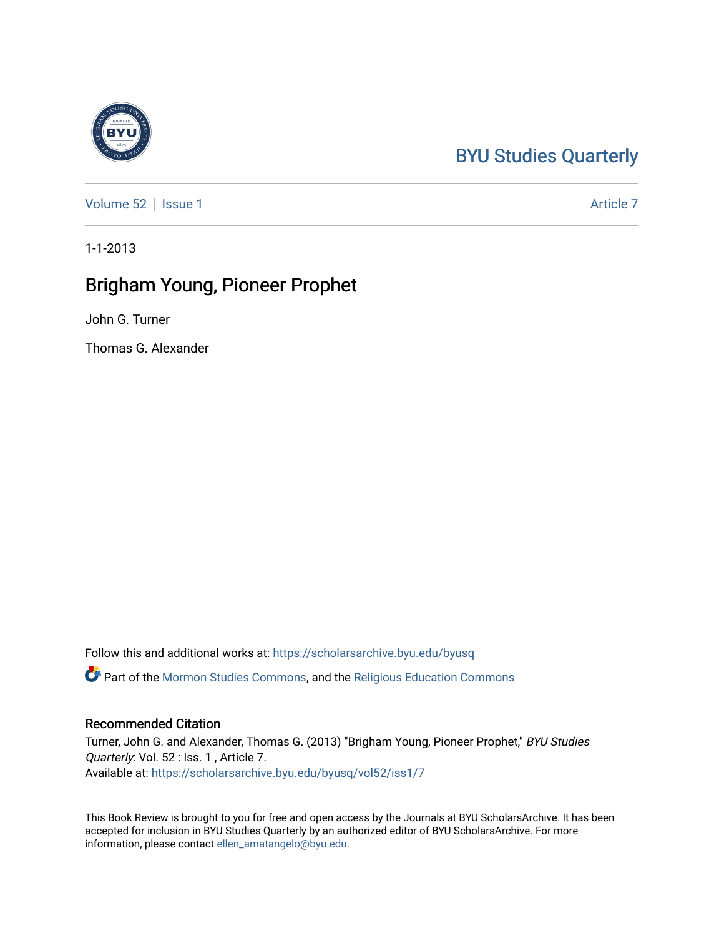## [BYU Studies Quarterly](https://scholarsarchive.byu.edu/byusq)

[Volume 52](https://scholarsarchive.byu.edu/byusq/vol52) | [Issue 1](https://scholarsarchive.byu.edu/byusq/vol52/iss1) Article 7

1-1-2013

## Brigham Young, Pioneer Prophet

John G. Turner

Thomas G. Alexander

Follow this and additional works at: [https://scholarsarchive.byu.edu/byusq](https://scholarsarchive.byu.edu/byusq?utm_source=scholarsarchive.byu.edu%2Fbyusq%2Fvol52%2Fiss1%2F7&utm_medium=PDF&utm_campaign=PDFCoverPages) 

Part of the [Mormon Studies Commons](http://network.bepress.com/hgg/discipline/1360?utm_source=scholarsarchive.byu.edu%2Fbyusq%2Fvol52%2Fiss1%2F7&utm_medium=PDF&utm_campaign=PDFCoverPages), and the [Religious Education Commons](http://network.bepress.com/hgg/discipline/1414?utm_source=scholarsarchive.byu.edu%2Fbyusq%2Fvol52%2Fiss1%2F7&utm_medium=PDF&utm_campaign=PDFCoverPages) 

## Recommended Citation

Turner, John G. and Alexander, Thomas G. (2013) "Brigham Young, Pioneer Prophet," BYU Studies Quarterly: Vol. 52 : Iss. 1, Article 7. Available at: [https://scholarsarchive.byu.edu/byusq/vol52/iss1/7](https://scholarsarchive.byu.edu/byusq/vol52/iss1/7?utm_source=scholarsarchive.byu.edu%2Fbyusq%2Fvol52%2Fiss1%2F7&utm_medium=PDF&utm_campaign=PDFCoverPages)

This Book Review is brought to you for free and open access by the Journals at BYU ScholarsArchive. It has been accepted for inclusion in BYU Studies Quarterly by an authorized editor of BYU ScholarsArchive. For more information, please contact [ellen\\_amatangelo@byu.edu.](mailto:ellen_amatangelo@byu.edu)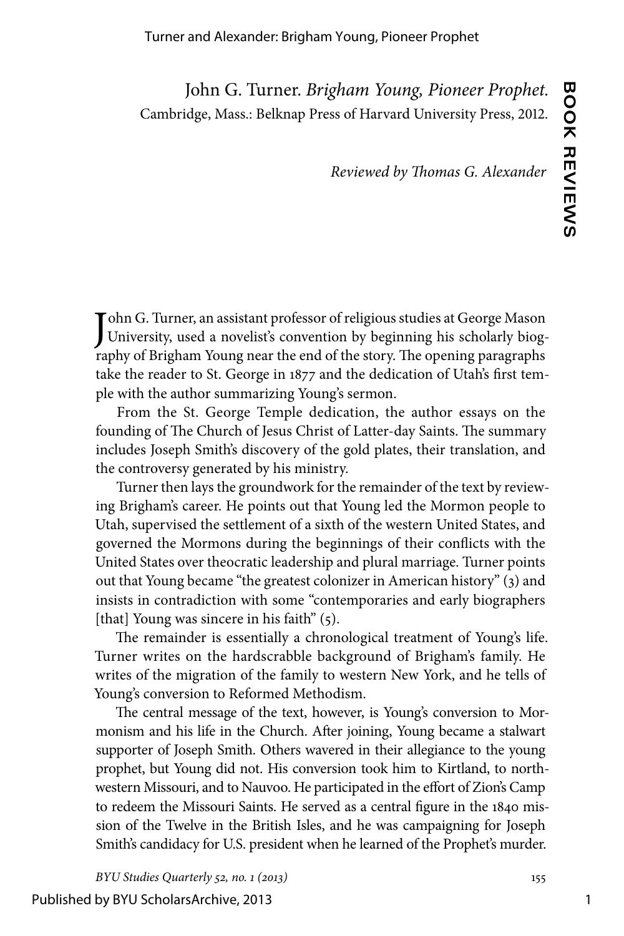John G. Turner. *Brigham Young, Pioneer Prophet.* Cambridge, Mass.: Belknap Press of Harvard University Press, 2012.

*Reviewed by Thomas G. Alexander*

John G. Turner, an assistant professor of religious studies at George Mason<br>University, used a novelist's convention by beginning his scholarly biogohn G. Turner, an assistant professor of religious studies at George Mason raphy of Brigham Young near the end of the story. The opening paragraphs take the reader to St. George in 1877 and the dedication of Utah's first temple with the author summarizing Young's sermon.

From the St. George Temple dedication, the author essays on the founding of The Church of Jesus Christ of Latter-day Saints. The summary includes Joseph Smith's discovery of the gold plates, their translation, and the controversy generated by his ministry.

Turner then lays the groundwork for the remainder of the text by reviewing Brigham's career. He points out that Young led the Mormon people to Utah, supervised the settlement of a sixth of the western United States, and governed the Mormons during the beginnings of their conflicts with the United States over theocratic leadership and plural marriage. Turner points out that Young became "the greatest colonizer in American history" (3) and insists in contradiction with some "contemporaries and early biographers [that] Young was sincere in his faith" (5).

The remainder is essentially a chronological treatment of Young's life. Turner writes on the hardscrabble background of Brigham's family. He writes of the migration of the family to western New York, and he tells of Young's conversion to Reformed Methodism.

The central message of the text, however, is Young's conversion to Mormonism and his life in the Church. After joining, Young became a stalwart supporter of Joseph Smith. Others wavered in their allegiance to the young prophet, but Young did not. His conversion took him to Kirtland, to northwestern Missouri, and to Nauvoo. He participated in the effort of Zion's Camp to redeem the Missouri Saints. He served as a central figure in the 1840 mission of the Twelve in the British Isles, and he was campaigning for Joseph Smith's candidacy for U.S. president when he learned of the Prophet's murder.

*BYU Studies Quarterly 52, no. 1 (2013)* 155

Published by BYU ScholarsArchive, 2013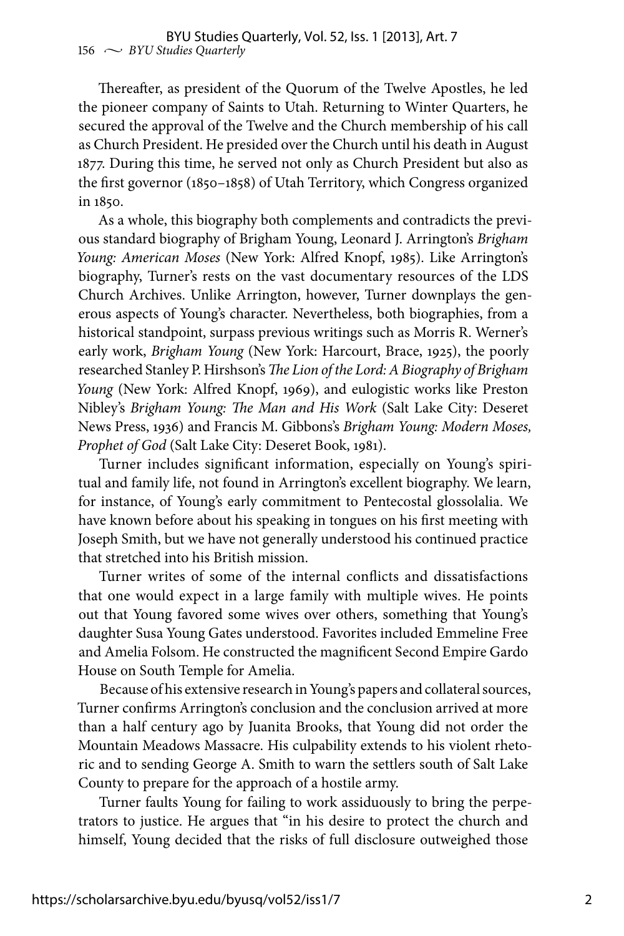Thereafter, as president of the Quorum of the Twelve Apostles, he led the pioneer company of Saints to Utah. Returning to Winter Quarters, he secured the approval of the Twelve and the Church membership of his call as Church President. He presided over the Church until his death in August 1877. During this time, he served not only as Church President but also as the first governor (1850–1858) of Utah Territory, which Congress organized in 1850.

As a whole, this biography both complements and contradicts the previous standard biography of Brigham Young, Leonard J. Arrington's *Brigham Young: American Moses* (New York: Alfred Knopf, 1985). Like Arrington's biography, Turner's rests on the vast documentary resources of the LDS Church Archives. Unlike Arrington, however, Turner downplays the generous aspects of Young's character. Nevertheless, both biographies, from a historical standpoint, surpass previous writings such as Morris R. Werner's early work, *Brigham Young* (New York: Harcourt, Brace, 1925), the poorly researched Stanley P. Hirshson's *The Lion of the Lord: A Biography of Brigham Young* (New York: Alfred Knopf, 1969), and eulogistic works like Preston Nibley's *Brigham Young: The Man and His Work* (Salt Lake City: Deseret News Press, 1936) and Francis M. Gibbons's *Brigham Young: Modern Moses, Prophet of God* (Salt Lake City: Deseret Book, 1981).

Turner includes significant information, especially on Young's spiritual and family life, not found in Arrington's excellent biography. We learn, for instance, of Young's early commitment to Pentecostal glossolalia. We have known before about his speaking in tongues on his first meeting with Joseph Smith, but we have not generally understood his continued practice that stretched into his British mission.

Turner writes of some of the internal conflicts and dissatisfactions that one would expect in a large family with multiple wives. He points out that Young favored some wives over others, something that Young's daughter Susa Young Gates understood. Favorites included Emmeline Free and Amelia Folsom. He constructed the magnificent Second Empire Gardo House on South Temple for Amelia.

Because of his extensive research in Young's papers and collateral sources, Turner confirms Arrington's conclusion and the conclusion arrived at more than a half century ago by Juanita Brooks, that Young did not order the Mountain Meadows Massacre. His culpability extends to his violent rhetoric and to sending George A. Smith to warn the settlers south of Salt Lake County to prepare for the approach of a hostile army.

Turner faults Young for failing to work assiduously to bring the perpetrators to justice. He argues that "in his desire to protect the church and himself, Young decided that the risks of full disclosure outweighed those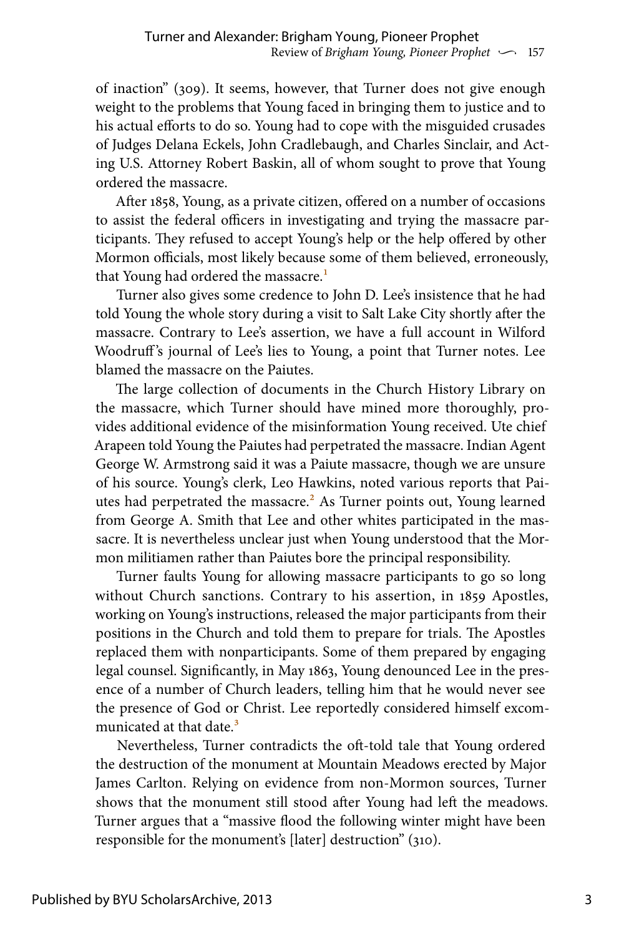of inaction" (309). It seems, however, that Turner does not give enough weight to the problems that Young faced in bringing them to justice and to his actual efforts to do so. Young had to cope with the misguided crusades of Judges Delana Eckels, John Cradlebaugh, and Charles Sinclair, and Acting U.S. Attorney Robert Baskin, all of whom sought to prove that Young ordered the massacre.

After 1858, Young, as a private citizen, offered on a number of occasions to assist the federal officers in investigating and trying the massacre participants. They refused to accept Young's help or the help offered by other Mormon officials, most likely because some of them believed, erroneously, that Young had ordered the massacre.<sup>1</sup>

Turner also gives some credence to John D. Lee's insistence that he had told Young the whole story during a visit to Salt Lake City shortly after the massacre. Contrary to Lee's assertion, we have a full account in Wilford Woodruff's journal of Lee's lies to Young, a point that Turner notes. Lee blamed the massacre on the Paiutes.

The large collection of documents in the Church History Library on the massacre, which Turner should have mined more thoroughly, provides additional evidence of the misinformation Young received. Ute chief Arapeen told Young the Paiutes had perpetrated the massacre. Indian Agent George W. Armstrong said it was a Paiute massacre, though we are unsure of his source. Young's clerk, Leo Hawkins, noted various reports that Paiutes had perpetrated the massacre.<sup>2</sup> As Turner points out, Young learned from George A. Smith that Lee and other whites participated in the massacre. It is nevertheless unclear just when Young understood that the Mormon militiamen rather than Paiutes bore the principal responsibility.

Turner faults Young for allowing massacre participants to go so long without Church sanctions. Contrary to his assertion, in 1859 Apostles, working on Young's instructions, released the major participants from their positions in the Church and told them to prepare for trials. The Apostles replaced them with nonparticipants. Some of them prepared by engaging legal counsel. Significantly, in May 1863, Young denounced Lee in the presence of a number of Church leaders, telling him that he would never see the presence of God or Christ. Lee reportedly considered himself excommunicated at that date.<sup>3</sup>

Nevertheless, Turner contradicts the oft-told tale that Young ordered the destruction of the monument at Mountain Meadows erected by Major James Carlton. Relying on evidence from non-Mormon sources, Turner shows that the monument still stood after Young had left the meadows. Turner argues that a "massive flood the following winter might have been responsible for the monument's [later] destruction" (310).